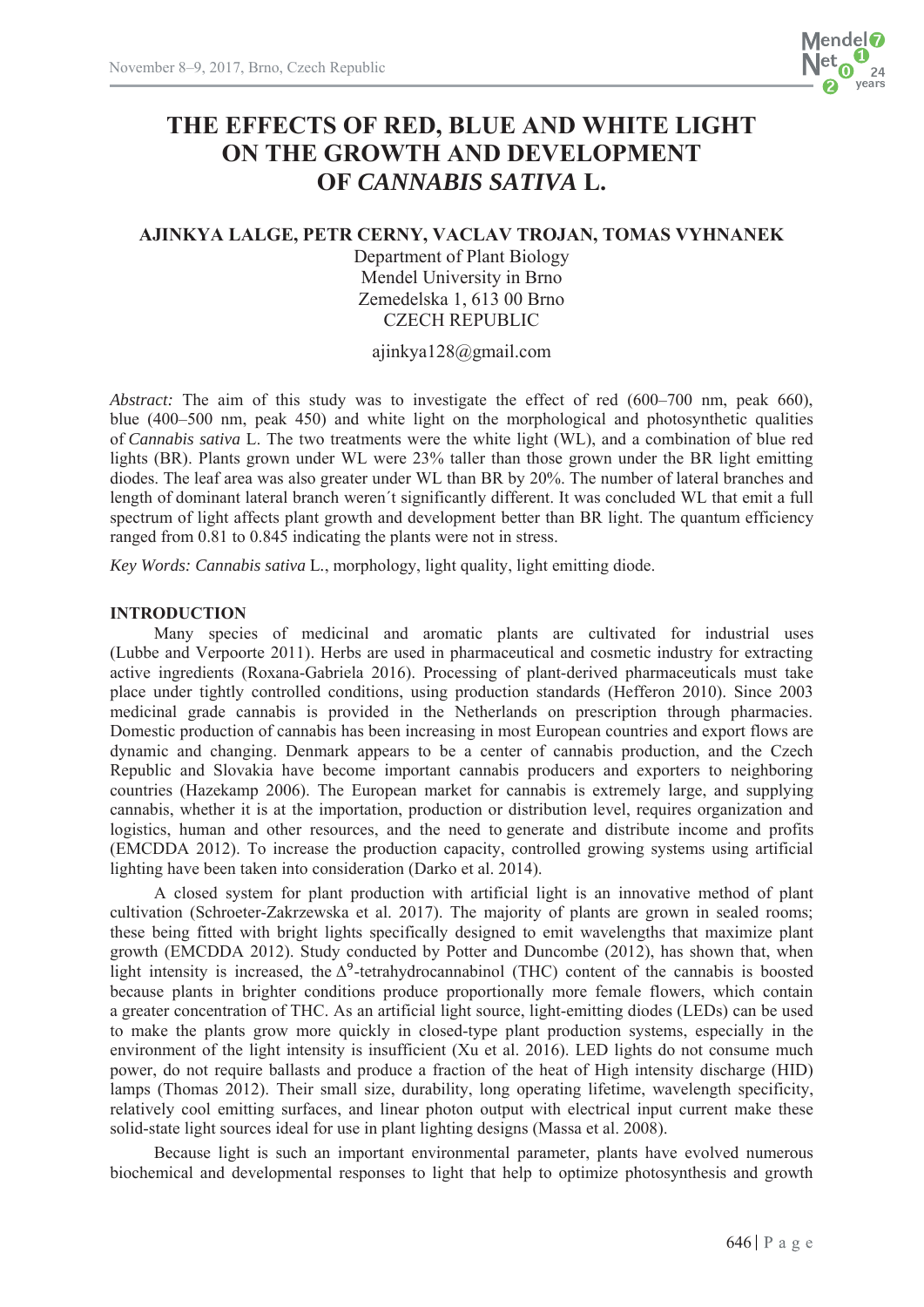

# **THE EFFECTS OF RED, BLUE AND WHITE LIGHT ON THE GROWTH AND DEVELOPMENT OF** *CANNABIS SATIVA* **L.**

# **AJINKYA LALGE, PETR CERNY, VACLAV TROJAN, TOMAS VYHNANEK**

Department of Plant Biology Mendel University in Brno Zemedelska 1, 613 00 Brno CZECH REPUBLIC

ajinkya128@gmail.com

*Abstract:* The aim of this study was to investigate the effect of red (600–700 nm, peak 660), blue (400–500 nm, peak 450) and white light on the morphological and photosynthetic qualities of *Cannabis sativa* L. The two treatments were the white light (WL), and a combination of blue red lights (BR). Plants grown under WL were 23% taller than those grown under the BR light emitting diodes. The leaf area was also greater under WL than BR by 20%. The number of lateral branches and length of dominant lateral branch weren´t significantly different. It was concluded WL that emit a full spectrum of light affects plant growth and development better than BR light. The quantum efficiency ranged from 0.81 to 0.845 indicating the plants were not in stress.

*Key Words: Cannabis sativa* L*.*, morphology, light quality, light emitting diode.

# **INTRODUCTION**

Many species of medicinal and aromatic plants are cultivated for industrial uses (Lubbe and Verpoorte 2011). Herbs are used in pharmaceutical and cosmetic industry for extracting active ingredients (Roxana-Gabriela 2016). Processing of plant-derived pharmaceuticals must take place under tightly controlled conditions, using production standards (Hefferon 2010). Since 2003 medicinal grade cannabis is provided in the Netherlands on prescription through pharmacies. Domestic production of cannabis has been increasing in most European countries and export flows are dynamic and changing. Denmark appears to be a center of cannabis production, and the Czech Republic and Slovakia have become important cannabis producers and exporters to neighboring countries (Hazekamp 2006). The European market for cannabis is extremely large, and supplying cannabis, whether it is at the importation, production or distribution level, requires organization and logistics, human and other resources, and the need to generate and distribute income and profits (EMCDDA 2012). To increase the production capacity, controlled growing systems using artificial lighting have been taken into consideration (Darko et al. 2014).

A closed system for plant production with artificial light is an innovative method of plant cultivation (Schroeter-Zakrzewska et al. 2017). The majority of plants are grown in sealed rooms; these being fitted with bright lights specifically designed to emit wavelengths that maximize plant growth (EMCDDA 2012). Study conducted by Potter and Duncombe (2012), has shown that, when light intensity is increased, the  $\Delta^9$ -tetrahydrocannabinol (THC) content of the cannabis is boosted because plants in brighter conditions produce proportionally more female flowers, which contain a greater concentration of THC. As an artificial light source, light-emitting diodes (LEDs) can be used to make the plants grow more quickly in closed-type plant production systems, especially in the environment of the light intensity is insufficient (Xu et al. 2016). LED lights do not consume much power, do not require ballasts and produce a fraction of the heat of High intensity discharge (HID) lamps (Thomas 2012). Their small size, durability, long operating lifetime, wavelength specificity, relatively cool emitting surfaces, and linear photon output with electrical input current make these solid-state light sources ideal for use in plant lighting designs (Massa et al. 2008).

Because light is such an important environmental parameter, plants have evolved numerous biochemical and developmental responses to light that help to optimize photosynthesis and growth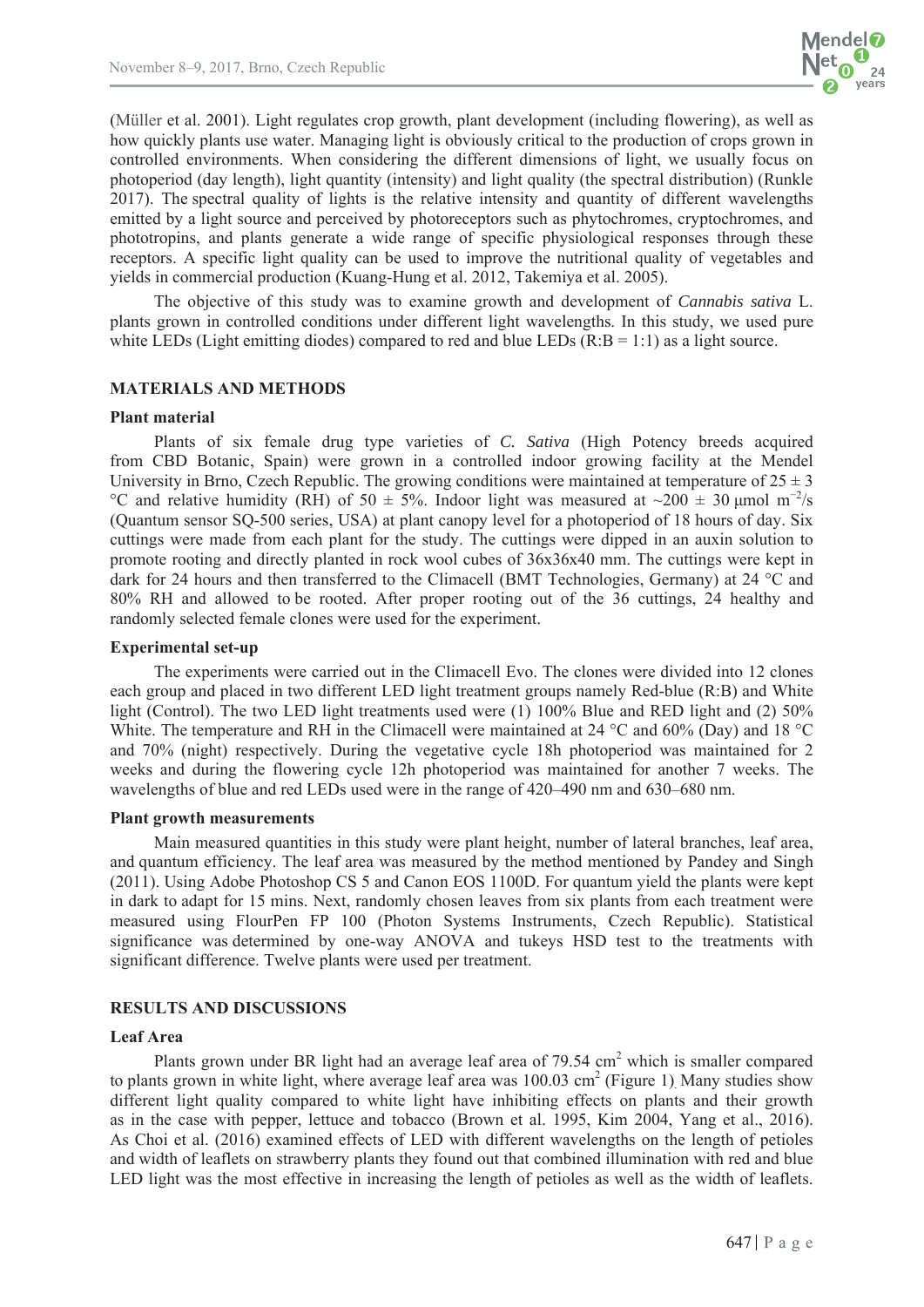

(Müller et al. 2001). Light regulates crop growth, plant development (including flowering), as well as how quickly plants use water. Managing light is obviously critical to the production of crops grown in controlled environments. When considering the different dimensions of light, we usually focus on photoperiod (day length), light quantity (intensity) and light quality (the spectral distribution) (Runkle 2017). The spectral quality of lights is the relative intensity and quantity of different wavelengths emitted by a light source and perceived by photoreceptors such as phytochromes, cryptochromes, and phototropins, and plants generate a wide range of specific physiological responses through these receptors. A specific light quality can be used to improve the nutritional quality of vegetables and yields in commercial production (Kuang-Hung et al. 2012, Takemiya et al. 2005).

The objective of this study was to examine growth and development of *Cannabis sativa* L. plants grown in controlled conditions under different light wavelengths. In this study, we used pure white LEDs (Light emitting diodes) compared to red and blue LEDs  $(R:B = 1:1)$  as a light source.

## **MATERIALS AND METHODS**

#### **Plant material**

Plants of six female drug type varieties of *C. Sativa* (High Potency breeds acquired from CBD Botanic, Spain) were grown in a controlled indoor growing facility at the Mendel University in Brno, Czech Republic. The growing conditions were maintained at temperature of  $25 \pm 3$ °C and relative humidity (RH) of 50  $\pm$  5%. Indoor light was measured at ~200  $\pm$  30 µmol m<sup>-2</sup>/s (Quantum sensor SQ-500 series, USA) at plant canopy level for a photoperiod of 18 hours of day. Six cuttings were made from each plant for the study. The cuttings were dipped in an auxin solution to promote rooting and directly planted in rock wool cubes of 36x36x40 mm. The cuttings were kept in dark for 24 hours and then transferred to the Climacell (BMT Technologies, Germany) at 24 °C and 80% RH and allowed to be rooted. After proper rooting out of the 36 cuttings, 24 healthy and randomly selected female clones were used for the experiment.

#### **Experimental set-up**

The experiments were carried out in the Climacell Evo. The clones were divided into 12 clones each group and placed in two different LED light treatment groups namely Red-blue (R:B) and White light (Control). The two LED light treatments used were (1) 100% Blue and RED light and (2) 50% White. The temperature and RH in the Climacell were maintained at 24 °C and 60% (Day) and 18 °C and 70% (night) respectively. During the vegetative cycle 18h photoperiod was maintained for 2 weeks and during the flowering cycle 12h photoperiod was maintained for another 7 weeks. The wavelengths of blue and red LEDs used were in the range of 420–490 nm and 630–680 nm.

#### **Plant growth measurements**

Main measured quantities in this study were plant height, number of lateral branches, leaf area, and quantum efficiency. The leaf area was measured by the method mentioned by Pandey and Singh (2011). Using Adobe Photoshop CS 5 and Canon EOS 1100D. For quantum yield the plants were kept in dark to adapt for 15 mins. Next, randomly chosen leaves from six plants from each treatment were measured using FlourPen FP 100 (Photon Systems Instruments, Czech Republic). Statistical significance was determined by one-way ANOVA and tukeys HSD test to the treatments with significant difference. Twelve plants were used per treatment.

#### **RESULTS AND DISCUSSIONS**

#### **Leaf Area**

Plants grown under BR light had an average leaf area of 79.54 cm<sup>2</sup> which is smaller compared to plants grown in white light, where average leaf area was  $100.03 \text{ cm}^2$  (Figure 1) Many studies show different light quality compared to white light have inhibiting effects on plants and their growth as in the case with pepper, lettuce and tobacco (Brown et al. 1995, Kim 2004, Yang et al., 2016). As Choi et al. (2016) examined effects of LED with different wavelengths on the length of petioles and width of leaflets on strawberry plants they found out that combined illumination with red and blue LED light was the most effective in increasing the length of petioles as well as the width of leaflets.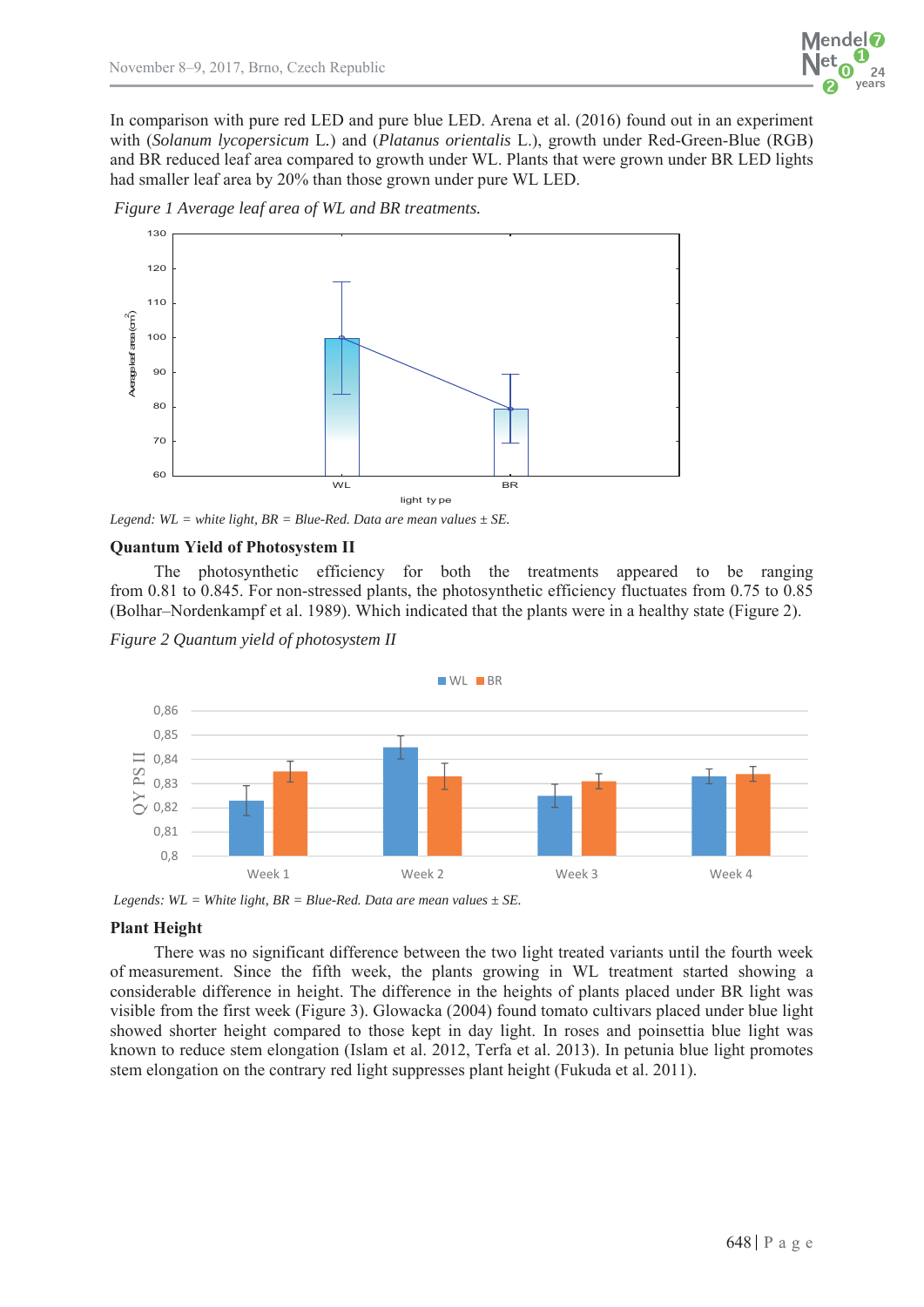

In comparison with pure red LED and pure blue LED. Arena et al. (2016) found out in an experiment with (*Solanum lycopersicum* L*.*) and (*Platanus orientalis* L.), growth under Red-Green-Blue (RGB) and BR reduced leaf area compared to growth under WL. Plants that were grown under BR LED lights had smaller leaf area by 20% than those grown under pure WL LED.





*Legend:*  $WL = white$  *light,*  $BR = Blue-Red$ *. Data are mean values*  $\pm$  *SE.* 

## **Quantum Yield of Photosystem II**

The photosynthetic efficiency for both the treatments appeared to be ranging from 0.81 to 0.845. For non-stressed plants, the photosynthetic efficiency fluctuates from 0.75 to 0.85 (Bolhar–Nordenkampf et al. 1989). Which indicated that the plants were in a healthy state (Figure 2).

*Figure 2 Quantum yield of photosystem II* 



*Legends:*  $WL = White light, BR = Blue-Red. Data are mean values  $\pm SE$ .$ 

## **Plant Height**

There was no significant difference between the two light treated variants until the fourth week of measurement. Since the fifth week, the plants growing in WL treatment started showing a considerable difference in height. The difference in the heights of plants placed under BR light was visible from the first week (Figure 3). Glowacka (2004) found tomato cultivars placed under blue light showed shorter height compared to those kept in day light. In roses and poinsettia blue light was known to reduce stem elongation (Islam et al. 2012, Terfa et al. 2013). In petunia blue light promotes stem elongation on the contrary red light suppresses plant height (Fukuda et al. 2011).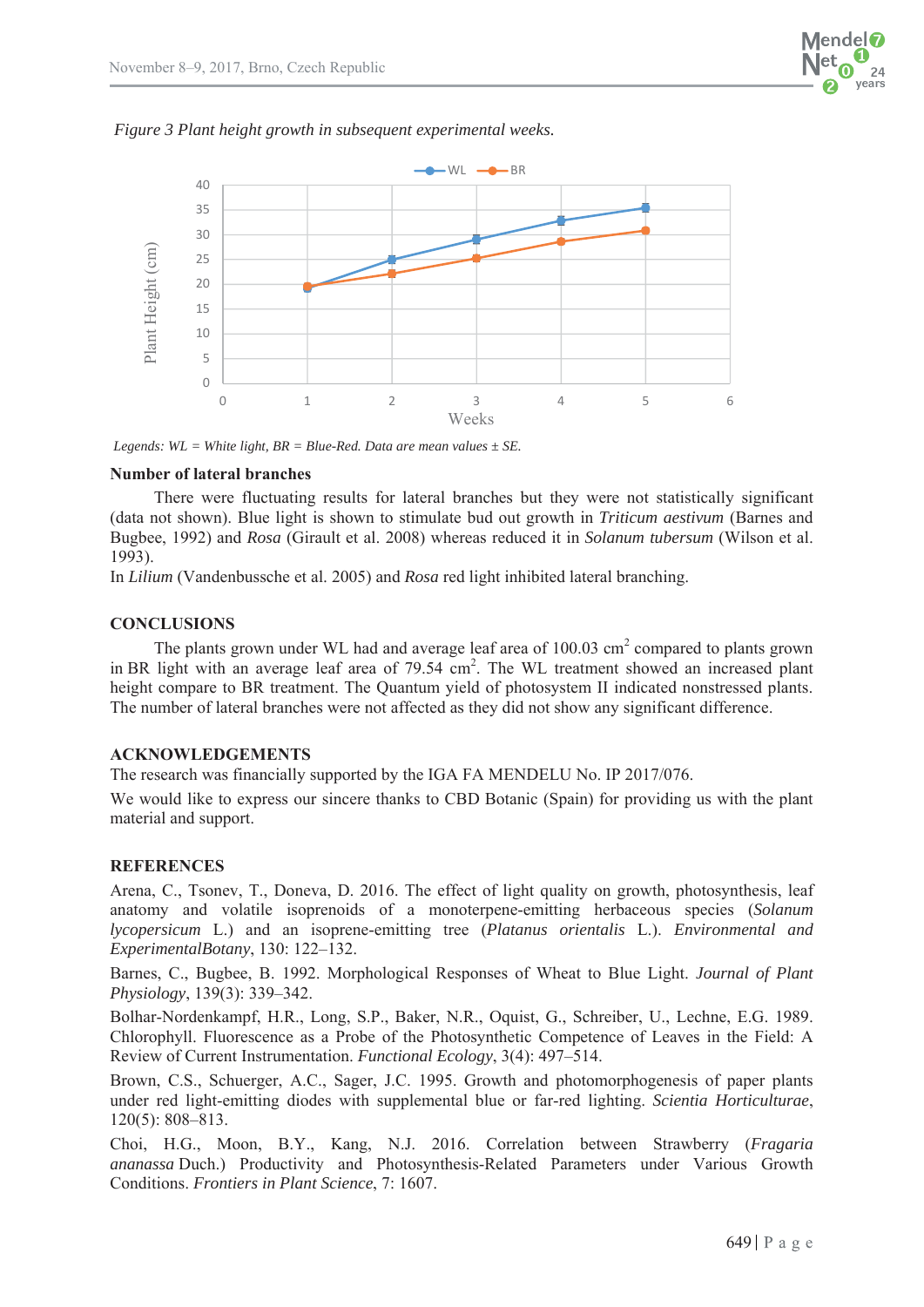



*Legends:*  $WL = White light, BR = Blue-Red. Data are mean values  $\pm SE$ .$ 

## **Number of lateral branches**

There were fluctuating results for lateral branches but they were not statistically significant (data not shown). Blue light is shown to stimulate bud out growth in *Triticum aestivum* (Barnes and Bugbee, 1992) and *Rosa* (Girault et al. 2008) whereas reduced it in *Solanum tubersum* (Wilson et al. 1993).

In *Lilium* (Vandenbussche et al. 2005) and *Rosa* red light inhibited lateral branching.

# **CONCLUSIONS**

The plants grown under WL had and average leaf area of  $100.03 \text{ cm}^2$  compared to plants grown in BR light with an average leaf area of 79.54 cm<sup>2</sup>. The WL treatment showed an increased plant height compare to BR treatment. The Quantum yield of photosystem II indicated nonstressed plants. The number of lateral branches were not affected as they did not show any significant difference.

## **ACKNOWLEDGEMENTS**

The research was financially supported by the IGA FA MENDELU No. IP 2017/076.

We would like to express our sincere thanks to CBD Botanic (Spain) for providing us with the plant material and support.

# **REFERENCES**

Arena, C., Tsonev, T., Doneva, D. 2016. The effect of light quality on growth, photosynthesis, leaf anatomy and volatile isoprenoids of a monoterpene-emitting herbaceous species (*Solanum lycopersicum* L.) and an isoprene-emitting tree (*Platanus orientalis* L.). *Environmental and ExperimentalBotany*, 130: 122–132.

Barnes, C., Bugbee, B. 1992. Morphological Responses of Wheat to Blue Light. *Journal of Plant Physiology*, 139(3): 339–342.

Bolhar-Nordenkampf, H.R., Long, S.P., Baker, N.R., Oquist, G., Schreiber, U., Lechne, E.G. 1989. Chlorophyll. Fluorescence as a Probe of the Photosynthetic Competence of Leaves in the Field: A Review of Current Instrumentation. *Functional Ecology*, 3(4): 497–514.

Brown, C.S., Schuerger, A.C., Sager, J.C. 1995. Growth and photomorphogenesis of paper plants under red light-emitting diodes with supplemental blue or far-red lighting. *Scientia Horticulturae*, 120(5): 808–813.

Choi, H.G., Moon, B.Y., Kang, N.J. 2016. Correlation between Strawberry (*Fragaria ananassa* Duch.) Productivity and Photosynthesis-Related Parameters under Various Growth Conditions. *Frontiers in Plant Science*, 7: 1607.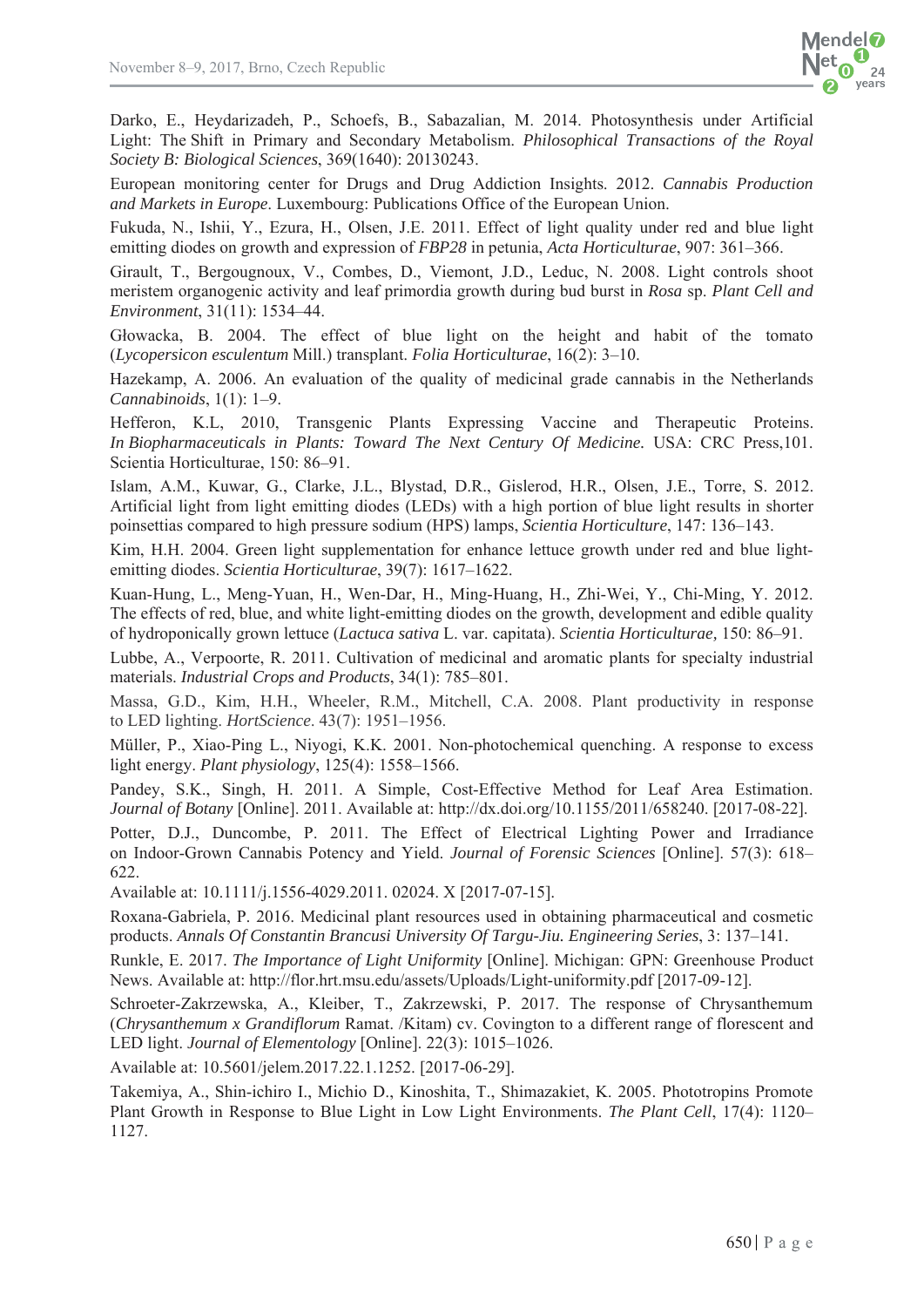Darko, E., Heydarizadeh, P., Schoefs, B., Sabazalian, M. 2014. Photosynthesis under Artificial Light: The Shift in Primary and Secondary Metabolism. *Philosophical Transactions of the Royal Society B: Biological Sciences*, 369(1640): 20130243.

European monitoring center for Drugs and Drug Addiction Insights. 2012. *Cannabis Production and Markets in Europe*. Luxembourg: Publications Office of the European Union.

Fukuda, N., Ishii, Y., Ezura, H., Olsen, J.E. 2011. Effect of light quality under red and blue light emitting diodes on growth and expression of *FBP28* in petunia, *Acta Horticulturae*, 907: 361–366.

Girault, T., Bergougnoux, V., Combes, D., Viemont, J.D., Leduc, N. 2008. Light controls shoot meristem organogenic activity and leaf primordia growth during bud burst in *Rosa* sp. *Plant Cell and Environment*, 31(11): 1534–44.

Głowacka, B. 2004. The effect of blue light on the height and habit of the tomato (*Lycopersicon esculentum* Mill.) transplant. *Folia Horticulturae*, 16(2): 3–10.

Hazekamp, A. 2006. An evaluation of the quality of medicinal grade cannabis in the Netherlands *Cannabinoids*, 1(1): 1–9.

Hefferon, K.L, 2010, Transgenic Plants Expressing Vaccine and Therapeutic Proteins. *In Biopharmaceuticals in Plants: Toward The Next Century Of Medicine.* USA: CRC Press,101. Scientia Horticulturae, 150: 86–91.

Islam, A.M., Kuwar, G., Clarke, J.L., Blystad, D.R., Gislerod, H.R., Olsen, J.E., Torre, S. 2012. Artificial light from light emitting diodes (LEDs) with a high portion of blue light results in shorter poinsettias compared to high pressure sodium (HPS) lamps, *Scientia Horticulture*, 147: 136–143.

Kim, H.H. 2004. Green light supplementation for enhance lettuce growth under red and blue lightemitting diodes. *Scientia Horticulturae*, 39(7): 1617–1622.

Kuan-Hung, L., Meng-Yuan, H., Wen-Dar, H., Ming-Huang, H., Zhi-Wei, Y., Chi-Ming, Y. 2012. The effects of red, blue, and white light-emitting diodes on the growth, development and edible quality of hydroponically grown lettuce (*Lactuca sativa* L. var. capitata). *Scientia Horticulturae,* 150: 86–91.

Lubbe, A., Verpoorte, R. 2011. Cultivation of medicinal and aromatic plants for specialty industrial materials. *Industrial Crops and Products*, 34(1): 785–801.

Massa, G.D., Kim, H.H., Wheeler, R.M., Mitchell, C.A. 2008. Plant productivity in response to LED lighting. *HortScience*. 43(7): 1951–1956.

Müller, P., Xiao-Ping L., Niyogi, K.K. 2001. Non-photochemical quenching. A response to excess light energy. *Plant physiology*, 125(4): 1558–1566.

Pandey, S.K., Singh, H. 2011. A Simple, Cost-Effective Method for Leaf Area Estimation. *Journal of Botany* [Online]. 2011. Available at: http://dx.doi.org/10.1155/2011/658240. [2017-08-22].

Potter, D.J., Duncombe, P. 2011. The Effect of Electrical Lighting Power and Irradiance on Indoor-Grown Cannabis Potency and Yield. *Journal of Forensic Sciences* [Online]. 57(3): 618– 622.

Available at: 10.1111/j.1556-4029.2011. 02024. X [2017-07-15].

Roxana-Gabriela, P. 2016. Medicinal plant resources used in obtaining pharmaceutical and cosmetic products. *Annals Of Constantin Brancusi University Of Targu-Jiu. Engineering Series*, 3: 137–141.

Runkle, E. 2017. *The Importance of Light Uniformity* [Online]. Michigan: GPN: Greenhouse Product News. Available at: http://flor.hrt.msu.edu/assets/Uploads/Light-uniformity.pdf [2017-09-12].

Schroeter-Zakrzewska, A., Kleiber, T., Zakrzewski, P. 2017. The response of Chrysanthemum (*Chrysanthemum x Grandiflorum* Ramat. /Kitam) cv. Covington to a different range of florescent and LED light. *Journal of Elementology* [Online]. 22(3): 1015–1026.

Available at: 10.5601/jelem.2017.22.1.1252. [2017-06-29].

Takemiya, A., Shin-ichiro I., Michio D., Kinoshita, T., Shimazakiet, K. 2005. Phototropins Promote Plant Growth in Response to Blue Light in Low Light Environments. *The Plant Cell*, 17(4): 1120– 1127.